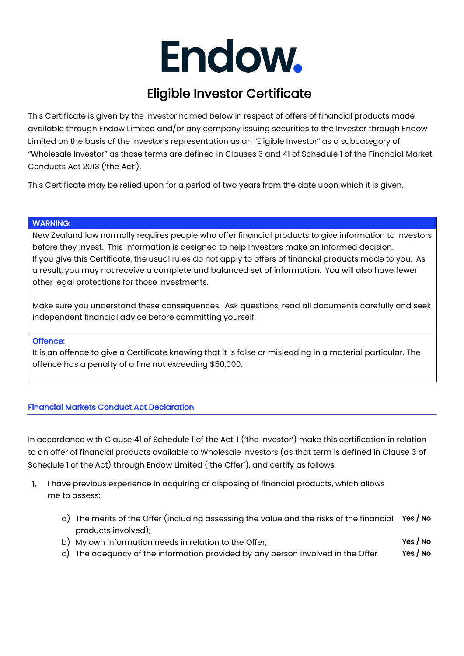# Endow.

# Eligible Investor Certificate

This Certificate is given by the Investor named below in respect of offers of financial products made available through Endow Limited and/or any company issuing securities to the Investor through Endow Limited on the basis of the Investor's representation as an "Eligible Investor" as a subcategory of "Wholesale Investor" as those terms are defined in Clauses 3 and 41 of Schedule 1 of the Financial Market Conducts Act 2013 ('the Act').

This Certificate may be relied upon for a period of two years from the date upon which it is given.

#### WARNING:

New Zealand law normally requires people who offer financial products to give information to investors before they invest. This information is designed to help investors make an informed decision. If you give this Certificate, the usual rules do not apply to offers of financial products made to you. As a result, you may not receive a complete and balanced set of information. You will also have fewer other legal protections for those investments.

Make sure you understand these consequences. Ask questions, read all documents carefully and seek independent financial advice before committing yourself.

#### Offence:

It is an offence to give a Certificate knowing that it is false or misleading in a material particular. The offence has a penalty of a fine not exceeding \$50,000.

### Financial Markets Conduct Act Declaration

In accordance with Clause 41 of Schedule 1 of the Act, I ('the Investor') make this certification in relation to an offer of financial products available to Wholesale Investors (as that term is defined in Clause 3 of Schedule 1 of the Act) through Endow Limited ('the Offer'), and certify as follows:

- 1. I have previous experience in acquiring or disposing of financial products, which allows me to assess:
- a) The merits of the Offer (including assessing the value and the risks of the financial **Yes / No** products involved);
	- b) My own information needs in relation to the Offer;  $Y$ es / No
	- c) The adequacy of the information provided by any person involved in the Offer  $Yes / No$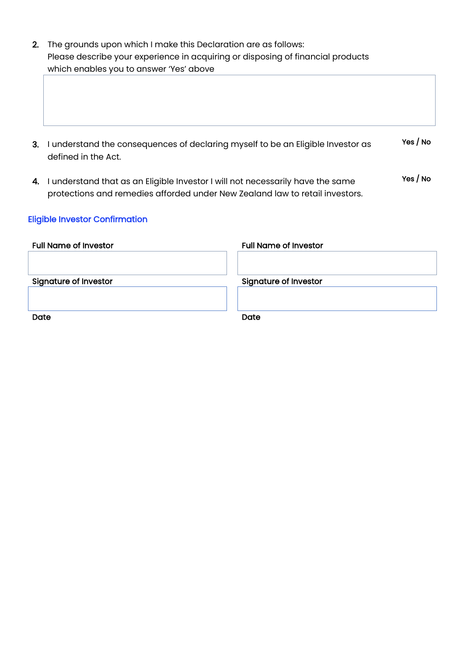| 2. The grounds upon which I make this Declaration are as follows:               |  |
|---------------------------------------------------------------------------------|--|
| Please describe your experience in acquiring or disposing of financial products |  |
| which enables you to answer 'Yes' above                                         |  |

- 3. I understand the consequences of declaring myself to be an Eligible Investor as defined in the Act. Yes / No
- 4. I understand that as an Eligible Investor I will not necessarily have the same protections and remedies afforded under New Zealand law to retail investors. Yes / No

# Eligible Investor Confirmation

| <b>Full Name of Investor</b> | <b>Full Name of Investor</b> |
|------------------------------|------------------------------|
| <b>Signature of Investor</b> | <b>Signature of Investor</b> |
|                              |                              |
| Date                         | Date                         |